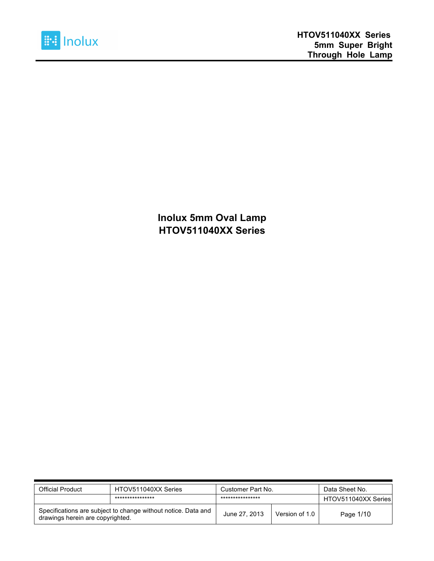

**Inolux 5mm Oval Lamp HTOV511040XX Series**

| <b>Official Product</b>                                                                           | HTOV511040XX Series | Customer Part No. |                | Data Sheet No.      |
|---------------------------------------------------------------------------------------------------|---------------------|-------------------|----------------|---------------------|
|                                                                                                   | ****************    | ****************  |                | HTOV511040XX Series |
| Specifications are subject to change without notice. Data and<br>drawings herein are copyrighted. |                     | June 27, 2013     | Version of 1.0 | Page 1/10           |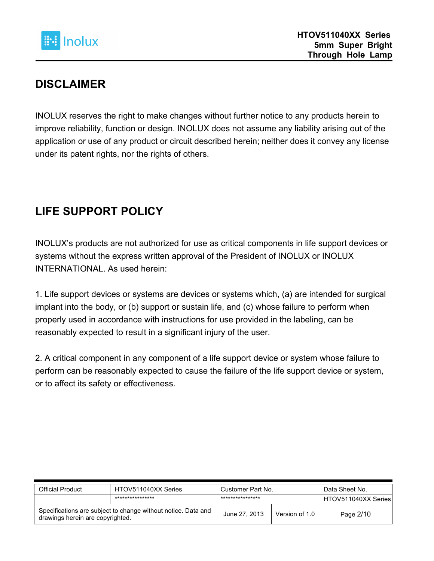

#### **DISCLAIMER**

INOLUX reserves the right to make changes without further notice to any products herein to improve reliability, function or design. INOLUX does not assume any liability arising out of the application or use of any product or circuit described herein; neither does it convey any license under its patent rights, nor the rights of others.

### **LIFE SUPPORT POLICY**

INOLUX's products are not authorized for use as critical components in life support devices or systems without the express written approval of the President of INOLUX or INOLUX INTERNATIONAL. As used herein:

1. Life support devices or systems are devices or systems which, (a) are intended for surgical implant into the body, or (b) support or sustain life, and (c) whose failure to perform when properly used in accordance with instructions for use provided in the labeling, can be reasonably expected to result in a significant injury of the user.

2. A critical component in any component of a life support device or system whose failure to perform can be reasonably expected to cause the failure of the life support device or system, or to affect its safety or effectiveness.

| Official Product                                                                                  | HTOV511040XX Series | Customer Part No. |                | Data Sheet No.      |
|---------------------------------------------------------------------------------------------------|---------------------|-------------------|----------------|---------------------|
|                                                                                                   | ****************    | ****************  |                | HTOV511040XX Series |
| Specifications are subject to change without notice. Data and<br>drawings herein are copyrighted. |                     | June 27, 2013     | Version of 1.0 | Page 2/10           |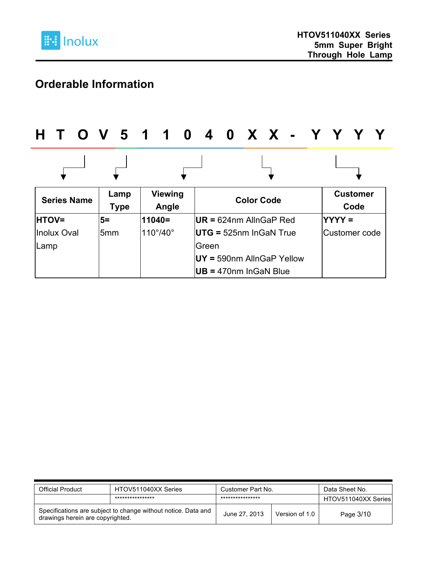

### **Orderable Information**

# **H T O V 5 1 1 0 4 0 X X - Y Y Y Y**

| <b>Series Name</b> | Lamp<br><b>Type</b> | <b>Viewing</b><br>Angle | <b>Color Code</b>                    | <b>Customer</b><br>Code |
|--------------------|---------------------|-------------------------|--------------------------------------|-------------------------|
| <b>HTOV=</b>       | $5=$                | 11040=                  | $\textsf{IUR}$ = 624nm AllnGaP Red   | <b>IYYYY =</b>          |
| <b>Inolux Oval</b> | l5mm                | $110^\circ/40^\circ$    | $\overline{U}$ TG = 525nm InGaN True | Customer code           |
| Lamp               |                     |                         | <b>IGreen</b>                        |                         |
|                    |                     |                         | $UV = 590$ nm AllnGaP Yellow         |                         |
|                    |                     |                         | $UB = 470nm$ In GaN Blue             |                         |

| Official Product                                                                                  | HTOV511040XX Series | Customer Part No. |                | Data Sheet No.      |
|---------------------------------------------------------------------------------------------------|---------------------|-------------------|----------------|---------------------|
|                                                                                                   | ****************    | ****************  |                | HTOV511040XX Series |
| Specifications are subject to change without notice. Data and<br>drawings herein are copyrighted. |                     | June 27, 2013     | Version of 1.0 | Page 3/10           |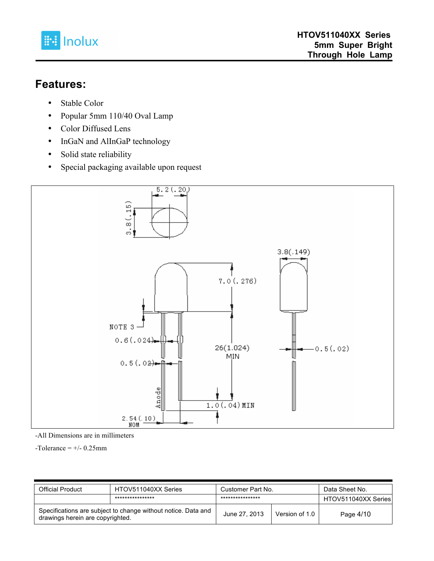

#### **Features:**

- Stable Color
- Popular 5mm 110/40 Oval Lamp
- Color Diffused Lens
- InGaN and AlInGaP technology
- Solid state reliability
- Special packaging available upon request



-All Dimensions are in millimeters

 $-Tolerance = +/- 0.25mm$ 

| <b>Official Product</b>                                                                           | HTOV511040XX Series | Customer Part No. |                | Data Sheet No.      |
|---------------------------------------------------------------------------------------------------|---------------------|-------------------|----------------|---------------------|
|                                                                                                   | ****************    | ****************  |                | HTOV511040XX Series |
| Specifications are subject to change without notice. Data and<br>drawings herein are copyrighted. |                     | June 27, 2013     | Version of 1.0 | Page 4/10           |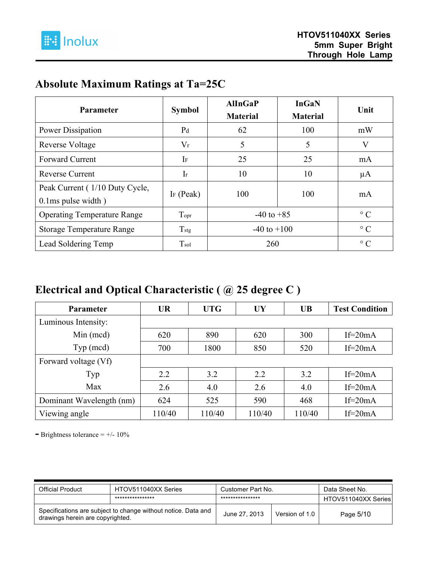

### **Absolute Maximum Ratings at Ta=25C**

| Parameter                                                  | <b>Symbol</b>         | <b>AlInGaP</b><br><b>Material</b> | <b>InGaN</b><br><b>Material</b> | Unit      |
|------------------------------------------------------------|-----------------------|-----------------------------------|---------------------------------|-----------|
| Power Dissipation                                          | P <sub>d</sub>        | 62                                | 100                             | mW        |
| <b>Reverse Voltage</b>                                     | $V_r$                 | 5                                 | 5                               | V         |
| <b>Forward Current</b>                                     | IF                    | 25                                | 25                              | mA        |
| <b>Reverse Current</b>                                     | $\rm{Ir}$             | 10                                | 10                              | μA        |
| Peak Current (1/10 Duty Cycle,<br>$0.1$ ms pulse width $)$ | I <sub>F</sub> (Peak) | 100                               | 100                             | mA        |
| <b>Operating Temperature Range</b>                         | Topr                  | $-40$ to $+85$                    |                                 | $\circ$ C |
| <b>Storage Temperature Range</b>                           | $T_{\text{stg}}$      | $-40$ to $+100$                   |                                 | $\circ$ C |
| Lead Soldering Temp                                        | Tsol                  | 260                               |                                 | $\circ$ C |

#### **Electrical and Optical Characteristic ( @ 25 degree C )**

| <b>Parameter</b>         | <b>UR</b> | <b>UTG</b> | <b>UY</b> | <b>UB</b> | <b>Test Condition</b> |
|--------------------------|-----------|------------|-----------|-----------|-----------------------|
| Luminous Intensity:      |           |            |           |           |                       |
| $Min$ (mcd)              | 620       | 890        | 620       | 300       | If= $20mA$            |
| Type (med)               | 700       | 1800       | 850       | 520       | If= $20mA$            |
| Forward voltage (Vf)     |           |            |           |           |                       |
| Typ                      | 2.2       | 3.2        | 2.2       | 3.2       | If= $20mA$            |
| Max                      | 2.6       | 4.0        | 2.6       | 4.0       | If= $20mA$            |
| Dominant Wavelength (nm) | 624       | 525        | 590       | 468       | If= $20mA$            |
| Viewing angle            | 110/40    | 110/40     | 110/40    | 110/40    | If= $20mA$            |

**-** Brightness tolerance = +/- 10%

| <b>Official Product</b>                                                                           | HTOV511040XX Series | Customer Part No. |                | Data Sheet No.      |
|---------------------------------------------------------------------------------------------------|---------------------|-------------------|----------------|---------------------|
|                                                                                                   | ****************    | ****************  |                | HTOV511040XX Series |
| Specifications are subject to change without notice. Data and<br>drawings herein are copyrighted. |                     | June 27, 2013     | Version of 1.0 | Page 5/10           |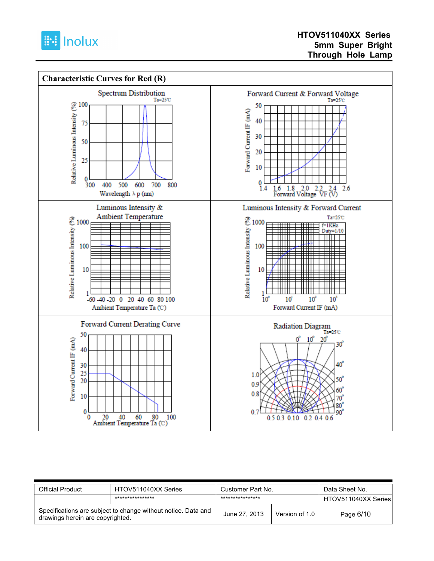



| Official Product                                                                                  | HTOV511040XX Series | Customer Part No. |                | Data Sheet No.      |
|---------------------------------------------------------------------------------------------------|---------------------|-------------------|----------------|---------------------|
|                                                                                                   | ****************    | ****************  |                | HTOV511040XX Series |
| Specifications are subject to change without notice. Data and<br>drawings herein are copyrighted. |                     | June 27, 2013     | Version of 1.0 | Page 6/10           |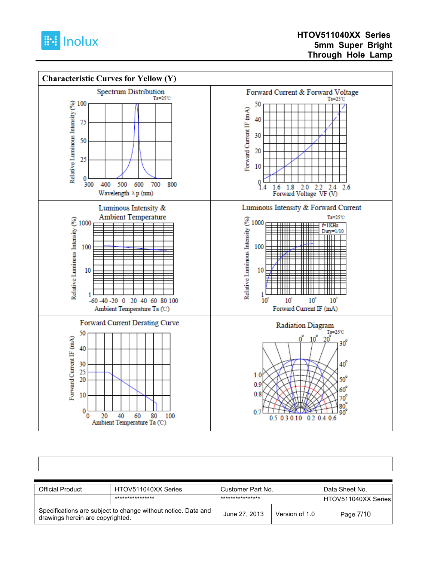



| <b>Official Product</b>                                                                           | HTOV511040XX Series | Customer Part No. |                | Data Sheet No.      |
|---------------------------------------------------------------------------------------------------|---------------------|-------------------|----------------|---------------------|
|                                                                                                   | ****************    | ****************  |                | HTOV511040XX Series |
| Specifications are subject to change without notice. Data and<br>drawings herein are copyrighted. |                     | June 27, 2013     | Version of 1.0 | Page 7/10           |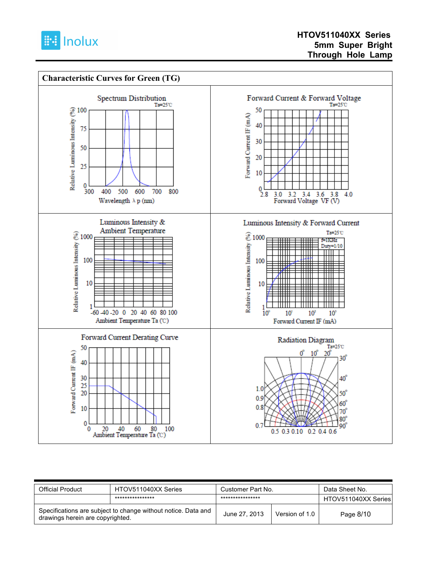



| <b>Official Product</b>                                                                           | HTOV511040XX Series | Customer Part No. |                | Data Sheet No.      |
|---------------------------------------------------------------------------------------------------|---------------------|-------------------|----------------|---------------------|
|                                                                                                   | ****************    | ****************  |                | HTOV511040XX Series |
| Specifications are subject to change without notice. Data and<br>drawings herein are copyrighted. |                     | June 27, 2013     | Version of 1.0 | Page 8/10           |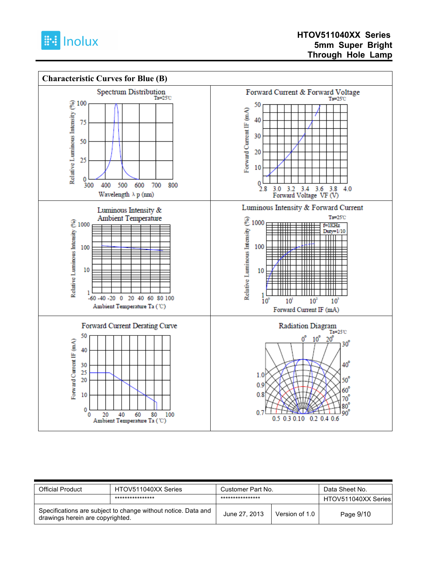



| Official Product                                                                                  | HTOV511040XX Series | Customer Part No. |                | Data Sheet No.      |
|---------------------------------------------------------------------------------------------------|---------------------|-------------------|----------------|---------------------|
|                                                                                                   | ****************    | ****************  |                | HTOV511040XX Series |
| Specifications are subject to change without notice. Data and<br>drawings herein are copyrighted. |                     | June 27, 2013     | Version of 1.0 | Page 9/10           |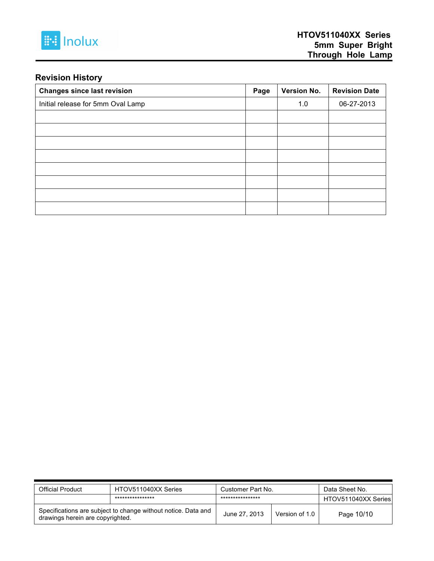

#### **Revision History**

| <b>Changes since last revision</b> | Page | Version No. | <b>Revision Date</b> |
|------------------------------------|------|-------------|----------------------|
| Initial release for 5mm Oval Lamp  |      | 1.0         | 06-27-2013           |
|                                    |      |             |                      |
|                                    |      |             |                      |
|                                    |      |             |                      |
|                                    |      |             |                      |
|                                    |      |             |                      |
|                                    |      |             |                      |
|                                    |      |             |                      |
|                                    |      |             |                      |

| <b>Official Product</b>          | HTOV511040XX Series                                           | Customer Part No. |                | Data Sheet No.      |  |
|----------------------------------|---------------------------------------------------------------|-------------------|----------------|---------------------|--|
|                                  | ****************                                              | ****************  |                | HTOV511040XX Series |  |
| drawings herein are copyrighted. | Specifications are subject to change without notice. Data and | June 27, 2013     | Version of 1.0 | Page 10/10          |  |